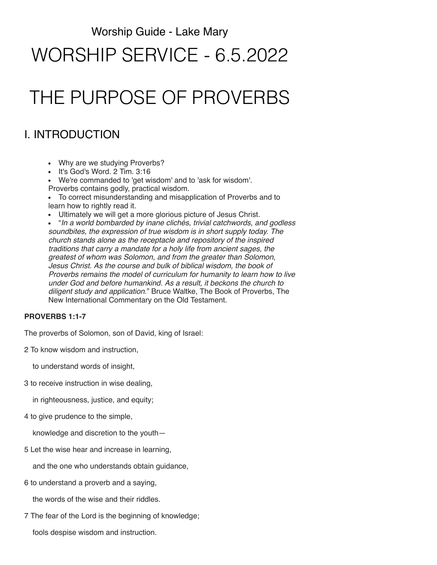### Worship Guide - Lake Mary

# WORSHIP SERVICE - 6.5.2022

# THE PURPOSE OF PROVERBS

## I. INTRODUCTION

- Why are we studying Proverbs?
- It's God's Word. 2 Tim. 3:16
- We're commanded to 'get wisdom' and to 'ask for wisdom'.
- Proverbs contains godly, practical wisdom.

To correct misunderstanding and misapplication of Proverbs and to learn how to rightly read it.

Ultimately we will get a more glorious picture of Jesus Christ.

"*In a world bombarded by inane clichés, trivial catchwords, and godless soundbites, the expression of true wisdom is in short supply today. The church stands alone as the receptacle and repository of the inspired traditions that carry a mandate for a holy life from ancient sages, the greatest of whom was Solomon, and from the greater than Solomon, Jesus Christ. As the course and bulk of biblical wisdom, the book of Proverbs remains the model of curriculum for humanity to learn how to live under God and before humankind. As a result, it beckons the church to diligent study and application*." Bruce Waltke, The Book of Proverbs, The New International Commentary on the Old Testament.

### **PROVERBS 1:1-7**

The proverbs of Solomon, son of David, king of Israel:

2 To know wisdom and instruction,

to understand words of insight,

3 to receive instruction in wise dealing,

in righteousness, justice, and equity;

4 to give prudence to the simple,

knowledge and discretion to the youth—

5 Let the wise hear and increase in learning,

and the one who understands obtain guidance,

6 to understand a proverb and a saying,

the words of the wise and their riddles.

7 The fear of the Lord is the beginning of knowledge;

fools despise wisdom and instruction.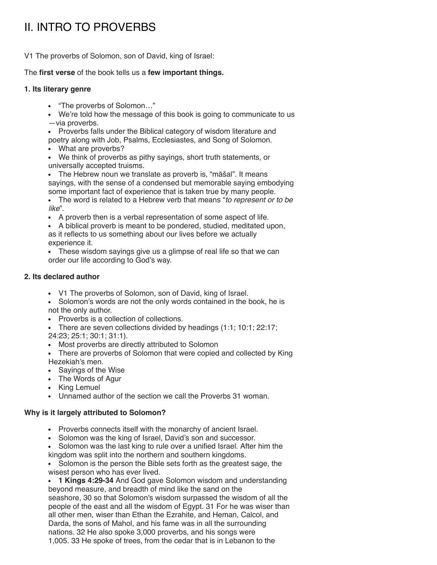# II. INTRO TO PROVERBS

V1 The proverbs of Solomon, son of David, king of Israel:

### The **first verse** of the book tells us a **few important things.**

### **1. Its literary genre**

- "The proverbs of Solomon…"
- We're told how the message of this book is going to communicate to us —via proverbs.
- Proverbs falls under the Biblical category of wisdom literature and poetry along with Job, Psalms, Ecclesiastes, and Song of Solomon.
- What are proverbs?
- We think of proverbs as pithy sayings, short truth statements, or universally accepted truisms.
- The Hebrew noun we translate as proverb is, "māšal". It means sayings, with the sense of a condensed but memorable saying embodying some important fact of experience that is taken true by many people.
- $\bullet$ The word is related to a Hebrew verb that means "*to represent or to be like*".
- A proverb then is a verbal representation of some aspect of life.
- A biblical proverb is meant to be pondered, studied, meditated upon, as it reflects to us something about our lives before we actually experience it.
- These wisdom sayings give us a glimpse of real life so that we can order our life according to God's way.

### **2. Its declared author**

- V1 The proverbs of Solomon, son of David, king of Israel.
- Solomon's words are not the only words contained in the book, he is not the only author.
- Proverbs is a collection of collections.
- There are seven collections divided by headings  $(1:1; 10:1; 22:17;$
- 24:23; 25:1; 30:1; 31:1).
- Most proverbs are directly attributed to Solomon
- There are proverbs of Solomon that were copied and collected by King Hezekiah's men.
- Sayings of the Wise
- The Words of Agur
- King Lemuel
- Unnamed author of the section we call the Proverbs 31 woman.

### **Why is it largely attributed to Solomon?**

- Proverbs connects itself with the monarchy of ancient Israel.
- Solomon was the king of Israel, David's son and successor.
- Solomon was the last king to rule over a unified Israel. After him the kingdom was split into the northern and southern kingdoms.
- Solomon is the person the Bible sets forth as the greatest sage, the wisest person who has ever lived.
- **1 Kings 4:29-34** And God gave Solomon wisdom and understanding beyond measure, and breadth of mind like the sand on the seashore, 30 so that Solomon's wisdom surpassed the wisdom of all the people of the east and all the wisdom of Egypt. 31 For he was wiser than all other men, wiser than Ethan the Ezrahite, and Heman, Calcol, and Darda, the sons of Mahol, and his fame was in all the surrounding nations. 32 He also spoke 3,000 proverbs, and his songs were 1,005. 33 He spoke of trees, from the cedar that is in Lebanon to the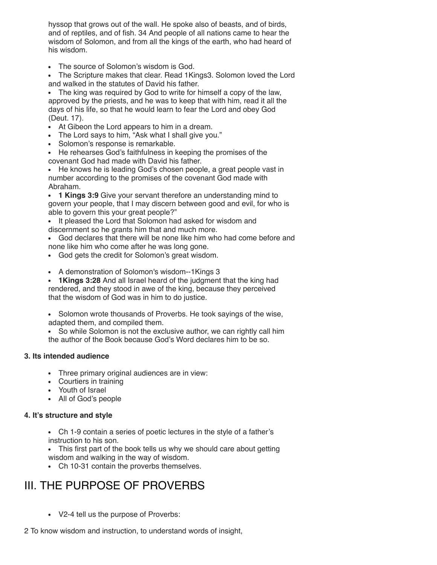hyssop that grows out of the wall. He spoke also of beasts, and of birds, and of reptiles, and of fish. 34 And people of all nations came to hear the wisdom of Solomon, and from all the kings of the earth, who had heard of his wisdom.

• The source of Solomon's wisdom is God.

The Scripture makes that clear. Read 1Kings3. Solomon loved the Lord and walked in the statutes of David his father.

The king was required by God to write for himself a copy of the law, approved by the priests, and he was to keep that with him, read it all the days of his life, so that he would learn to fear the Lord and obey God (Deut. 17).

- At Gibeon the Lord appears to him in a dream.
- The Lord says to him, "Ask what I shall give you."
- Solomon's response is remarkable.
- He rehearses God's faithfulness in keeping the promises of the covenant God had made with David his father.

He knows he is leading God's chosen people, a great people vast in number according to the promises of the covenant God made with Abraham.

**1 Kings 3:9** Give your servant therefore an understanding mind to govern your people, that I may discern between good and evil, for who is able to govern this your great people?"

It pleased the Lord that Solomon had asked for wisdom and discernment so he grants him that and much more.

God declares that there will be none like him who had come before and none like him who come after he was long gone.

- God gets the credit for Solomon's great wisdom.
- A demonstration of Solomon's wisdom--1Kings 3

**1Kings 3:28** And all Israel heard of the judgment that the king had rendered, and they stood in awe of the king, because they perceived that the wisdom of God was in him to do justice.

• Solomon wrote thousands of Proverbs. He took sayings of the wise, adapted them, and compiled them.

So while Solomon is not the exclusive author, we can rightly call him the author of the Book because God's Word declares him to be so.

### **3. Its intended audience**

- Three primary original audiences are in view:
- Courtiers in training
- Youth of Israel
- All of God's people

### **4. It's structure and style**

Ch 1-9 contain a series of poetic lectures in the style of a father's instruction to his son.

• This first part of the book tells us why we should care about getting wisdom and walking in the way of wisdom.

Ch 10-31 contain the proverbs themselves.

## III. THE PURPOSE OF PROVERBS

V2-4 tell us the purpose of Proverbs:

2 To know wisdom and instruction, to understand words of insight,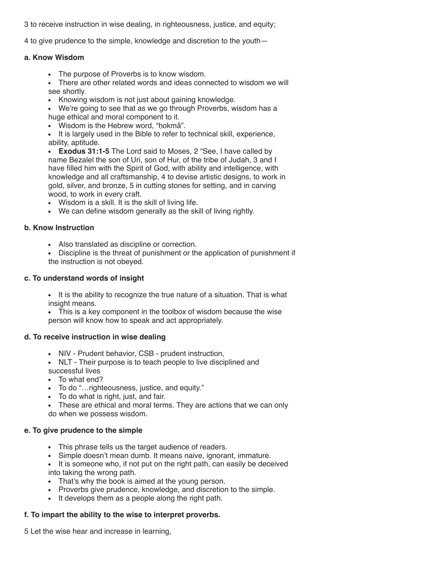3 to receive instruction in wise dealing, in righteousness, justice, and equity;

4 to give prudence to the simple, knowledge and discretion to the youth—

#### **a. Know Wisdom**

- The purpose of Proverbs is to know wisdom.
- There are other related words and ideas connected to wisdom we will see shortly.
- Knowing wisdom is not just about gaining knowledge.
- We're going to see that as we go through Proverbs, wisdom has a huge ethical and moral component to it.
- Wisdom is the Hebrew word, "ḥokmâ".
- It is largely used in the Bible to refer to technical skill, experience, ability, aptitude.
- **Exodus 31:1-5** The Lord said to Moses, 2 "See, I have called by name Bezalel the son of Uri, son of Hur, of the tribe of Judah, 3 and I have filled him with the Spirit of God, with ability and intelligence, with knowledge and all craftsmanship, 4 to devise artistic designs, to work in gold, silver, and bronze, 5 in cutting stones for setting, and in carving wood, to work in every craft.
- Wisdom is a skill. It is the skill of living life.
- We can define wisdom generally as the skill of living rightly.

### **b. Know Instruction**

- Also translated as discipline or correction.
- Discipline is the threat of punishment or the application of punishment if the instruction is not obeyed.

### **c. To understand words of insight**

It is the ability to recognize the true nature of a situation. That is what insight means.

This is a key component in the toolbox of wisdom because the wise person will know how to speak and act appropriately.

### **d. To receive instruction in wise dealing**

- NIV Prudent behavior, CSB prudent instruction,
- NLT Their purpose is to teach people to live disciplined and successful lives
- To what end?
- To do "…righteousness, justice, and equity."
- To do what is right, just, and fair.
- These are ethical and moral terms. They are actions that we can only do when we possess wisdom.

### **e. To give prudence to the simple**

- This phrase tells us the target audience of readers.
- Simple doesn't mean dumb. It means naive, ignorant, immature.
- It is someone who, if not put on the right path, can easily be deceived into taking the wrong path.
- That's why the book is aimed at the young person.
- Proverbs give prudence, knowledge, and discretion to the simple.
- It develops them as a people along the right path.

### **f. To impart the ability to the wise to interpret proverbs.**

5 Let the wise hear and increase in learning,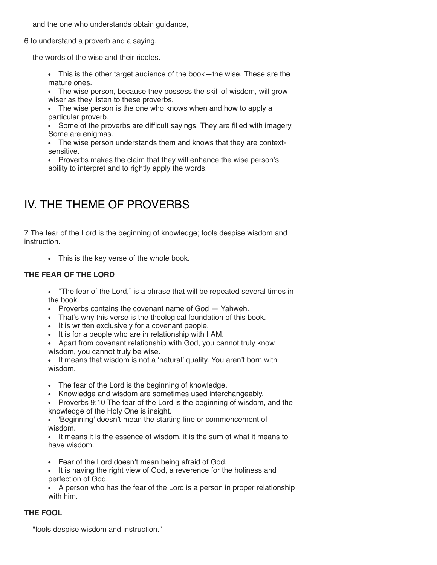and the one who understands obtain guidance,

6 to understand a proverb and a saying,

the words of the wise and their riddles.

This is the other target audience of the book—the wise. These are the mature ones.

The wise person, because they possess the skill of wisdom, will grow wiser as they listen to these proverbs.

The wise person is the one who knows when and how to apply a particular proverb.

Some of the proverbs are difficult sayings. They are filled with imagery. Some are enigmas.

The wise person understands them and knows that they are contextsensitive.

Proverbs makes the claim that they will enhance the wise person's ability to interpret and to rightly apply the words.

### IV. THE THEME OF PROVERBS

7 The fear of the Lord is the beginning of knowledge; fools despise wisdom and instruction.

This is the key verse of the whole book.

### **THE FEAR OF THE LORD**

"The fear of the Lord," is a phrase that will be repeated several times in the book.

- Proverbs contains the covenant name of God Yahweh.
- That's why this verse is the theological foundation of this book.
- It is written exclusively for a covenant people.
- It is for a people who are in relationship with I AM.
- Apart from covenant relationship with God, you cannot truly know wisdom, you cannot truly be wise.

It means that wisdom is not a 'natural' quality. You aren't born with wisdom.

- The fear of the Lord is the beginning of knowledge.
- Knowledge and wisdom are sometimes used interchangeably.
- Proverbs 9:10 The fear of the Lord is the beginning of wisdom, and the knowledge of the Holy One is insight.

'Beginning' doesn't mean the starting line or commencement of  $\bullet$ wisdom.

• It means it is the essence of wisdom, it is the sum of what it means to have wisdom.

- Fear of the Lord doesn't mean being afraid of God.
- It is having the right view of God, a reverence for the holiness and perfection of God.

A person who has the fear of the Lord is a person in proper relationship with him.

### **THE FOOL**

"fools despise wisdom and instruction."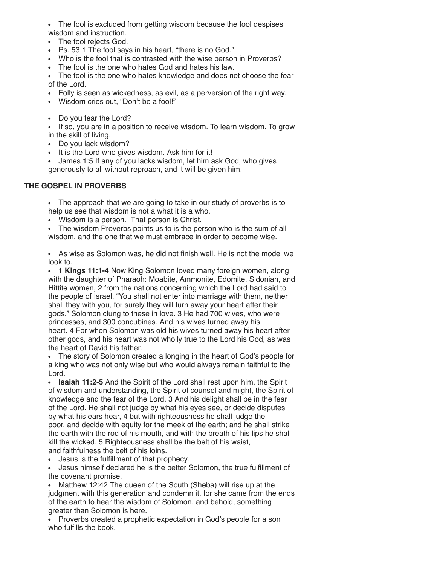The fool is excluded from getting wisdom because the fool despises wisdom and instruction.

- The fool rejects God.
- Ps. 53:1 The fool says in his heart, "there is no God."
- Who is the fool that is contrasted with the wise person in Proverbs?
- The fool is the one who hates God and hates his law.

The fool is the one who hates knowledge and does not choose the fear of the Lord.

- Folly is seen as wickedness, as evil, as a perversion of the right way.
- Wisdom cries out, "Don't be a fool!"
- Do you fear the Lord?

• If so, you are in a position to receive wisdom. To learn wisdom. To grow in the skill of living.

- Do you lack wisdom?
- It is the Lord who gives wisdom. Ask him for it!

James 1:5 If any of you lacks wisdom, let him ask God, who gives generously to all without reproach, and it will be given him.

### **THE GOSPEL IN PROVERBS**

The approach that we are going to take in our study of proverbs is to help us see that wisdom is not a what it is a who.

Wisdom is a person. That person is Christ.

The wisdom Proverbs points us to is the person who is the sum of all wisdom, and the one that we must embrace in order to become wise.

As wise as Solomon was, he did not finish well. He is not the model we look to.

**1 Kings 11:1-4** Now King Solomon loved many foreign women, along with the daughter of Pharaoh: Moabite, Ammonite, Edomite, Sidonian, and Hittite women, 2 from the nations concerning which the Lord had said to the people of Israel, "You shall not enter into marriage with them, neither shall they with you, for surely they will turn away your heart after their gods." Solomon clung to these in love. 3 He had 700 wives, who were princesses, and 300 concubines. And his wives turned away his heart. 4 For when Solomon was old his wives turned away his heart after other gods, and his heart was not wholly true to the Lord his God, as was the heart of David his father.

The story of Solomon created a longing in the heart of God's people for a king who was not only wise but who would always remain faithful to the Lord.

**Isaiah 11:2-5** And the Spirit of the Lord shall rest upon him, the Spirit of wisdom and understanding, the Spirit of counsel and might, the Spirit of knowledge and the fear of the Lord. 3 And his delight shall be in the fear of the Lord. He shall not judge by what his eyes see, or decide disputes by what his ears hear, 4 but with righteousness he shall judge the poor, and decide with equity for the meek of the earth; and he shall strike the earth with the rod of his mouth, and with the breath of his lips he shall kill the wicked. 5 Righteousness shall be the belt of his waist, and faithfulness the belt of his loins.

Jesus is the fulfillment of that prophecy.

Jesus himself declared he is the better Solomon, the true fulfillment of the covenant promise.

Matthew 12:42 The queen of the South (Sheba) will rise up at the judgment with this generation and condemn it, for she came from the ends of the earth to hear the wisdom of Solomon, and behold, something greater than Solomon is here.

• Proverbs created a prophetic expectation in God's people for a son who fulfills the book.